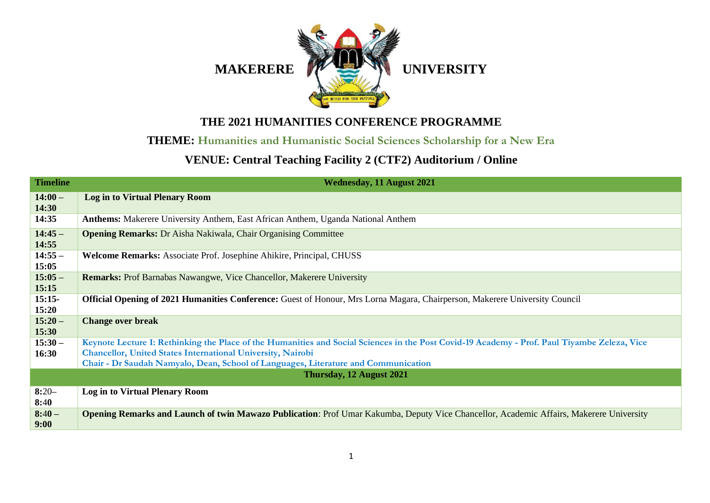

## **THE 2021 HUMANITIES CONFERENCE PROGRAMME**

## **THEME: Humanities and Humanistic Social Sciences Scholarship for a New Era**

## **VENUE: Central Teaching Facility 2 (CTF2) Auditorium / Online**

| <b>Timeline</b>    | <b>Wednesday, 11 August 2021</b>                                                                                                                                                                                                                                                                         |  |  |  |
|--------------------|----------------------------------------------------------------------------------------------------------------------------------------------------------------------------------------------------------------------------------------------------------------------------------------------------------|--|--|--|
| $14:00-$<br>14:30  | <b>Log in to Virtual Plenary Room</b>                                                                                                                                                                                                                                                                    |  |  |  |
| 14:35              | <b>Anthems:</b> Makerere University Anthem, East African Anthem, Uganda National Anthem                                                                                                                                                                                                                  |  |  |  |
| $14:45-$<br>14:55  | <b>Opening Remarks:</b> Dr Aisha Nakiwala, Chair Organising Committee                                                                                                                                                                                                                                    |  |  |  |
| $14:55 -$<br>15:05 | Welcome Remarks: Associate Prof. Josephine Ahikire, Principal, CHUSS                                                                                                                                                                                                                                     |  |  |  |
| $15:05 -$<br>15:15 | <b>Remarks:</b> Prof Barnabas Nawangwe, Vice Chancellor, Makerere University                                                                                                                                                                                                                             |  |  |  |
| $15:15-$<br>15:20  | <b>Official Opening of 2021 Humanities Conference:</b> Guest of Honour, Mrs Lorna Magara, Chairperson, Makerere University Council                                                                                                                                                                       |  |  |  |
| $15:20-$<br>15:30  | <b>Change over break</b>                                                                                                                                                                                                                                                                                 |  |  |  |
| $15:30 -$<br>16:30 | Keynote Lecture I: Rethinking the Place of the Humanities and Social Sciences in the Post Covid-19 Academy - Prof. Paul Tiyambe Zeleza, Vice<br><b>Chancellor, United States International University, Nairobi</b><br>Chair - Dr Saudah Namyalo, Dean, School of Languages, Literature and Communication |  |  |  |
|                    | Thursday, 12 August 2021                                                                                                                                                                                                                                                                                 |  |  |  |
| $8:20-$<br>8:40    | <b>Log in to Virtual Plenary Room</b>                                                                                                                                                                                                                                                                    |  |  |  |
| $8:40-$<br>9:00    | Opening Remarks and Launch of twin Mawazo Publication: Prof Umar Kakumba, Deputy Vice Chancellor, Academic Affairs, Makerere University                                                                                                                                                                  |  |  |  |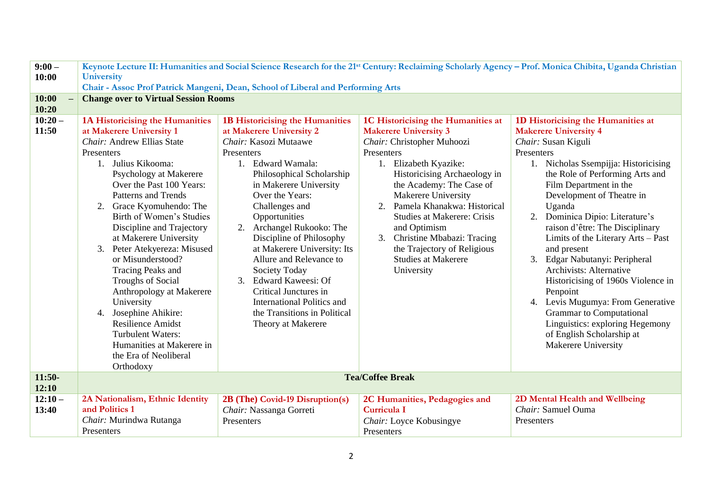| $9:00 -$           | Keynote Lecture II: Humanities and Social Science Research for the 21 <sup>st</sup> Century: Reclaiming Scholarly Agency – Prof. Monica Chibita, Uganda Christian                                                                                                                                                                                                                                                                                                                                                                                                                                                                          |                                                                                                                                                                                                                                                                                                                                                                                                                                                                                                                                           |                                                                                                                                                                                                                                                                                                                                                                                                                                             |                                                                                                                                                                                                                                                                                                                                                                                                                                                                                                                                                                                                                                                                     |  |  |
|--------------------|--------------------------------------------------------------------------------------------------------------------------------------------------------------------------------------------------------------------------------------------------------------------------------------------------------------------------------------------------------------------------------------------------------------------------------------------------------------------------------------------------------------------------------------------------------------------------------------------------------------------------------------------|-------------------------------------------------------------------------------------------------------------------------------------------------------------------------------------------------------------------------------------------------------------------------------------------------------------------------------------------------------------------------------------------------------------------------------------------------------------------------------------------------------------------------------------------|---------------------------------------------------------------------------------------------------------------------------------------------------------------------------------------------------------------------------------------------------------------------------------------------------------------------------------------------------------------------------------------------------------------------------------------------|---------------------------------------------------------------------------------------------------------------------------------------------------------------------------------------------------------------------------------------------------------------------------------------------------------------------------------------------------------------------------------------------------------------------------------------------------------------------------------------------------------------------------------------------------------------------------------------------------------------------------------------------------------------------|--|--|
| 10:00              | <b>University</b>                                                                                                                                                                                                                                                                                                                                                                                                                                                                                                                                                                                                                          |                                                                                                                                                                                                                                                                                                                                                                                                                                                                                                                                           |                                                                                                                                                                                                                                                                                                                                                                                                                                             |                                                                                                                                                                                                                                                                                                                                                                                                                                                                                                                                                                                                                                                                     |  |  |
|                    | Chair - Assoc Prof Patrick Mangeni, Dean, School of Liberal and Performing Arts                                                                                                                                                                                                                                                                                                                                                                                                                                                                                                                                                            |                                                                                                                                                                                                                                                                                                                                                                                                                                                                                                                                           |                                                                                                                                                                                                                                                                                                                                                                                                                                             |                                                                                                                                                                                                                                                                                                                                                                                                                                                                                                                                                                                                                                                                     |  |  |
| 10:00<br>10:20     | <b>Change over to Virtual Session Rooms</b>                                                                                                                                                                                                                                                                                                                                                                                                                                                                                                                                                                                                |                                                                                                                                                                                                                                                                                                                                                                                                                                                                                                                                           |                                                                                                                                                                                                                                                                                                                                                                                                                                             |                                                                                                                                                                                                                                                                                                                                                                                                                                                                                                                                                                                                                                                                     |  |  |
| $10:20 -$<br>11:50 | 1A Historicising the Humanities<br>at Makerere University 1<br>Chair: Andrew Ellias State<br>Presenters<br>Julius Kikooma:<br>1.<br>Psychology at Makerere<br>Over the Past 100 Years:<br><b>Patterns and Trends</b><br>2. Grace Kyomuhendo: The<br>Birth of Women's Studies<br>Discipline and Trajectory<br>at Makerere University<br>3. Peter Atekyereza: Misused<br>or Misunderstood?<br>Tracing Peaks and<br><b>Troughs of Social</b><br>Anthropology at Makerere<br>University<br>Josephine Ahikire:<br>4.<br><b>Resilience Amidst</b><br><b>Turbulent Waters:</b><br>Humanities at Makerere in<br>the Era of Neoliberal<br>Orthodoxy | <b>1B Historicising the Humanities</b><br>at Makerere University 2<br>Chair: Kasozi Mutaawe<br>Presenters<br>1. Edward Wamala:<br>Philosophical Scholarship<br>in Makerere University<br>Over the Years:<br>Challenges and<br>Opportunities<br>Archangel Rukooko: The<br>2.<br>Discipline of Philosophy<br>at Makerere University: Its<br>Allure and Relevance to<br>Society Today<br>3.<br><b>Edward Kaweesi: Of</b><br>Critical Junctures in<br><b>International Politics and</b><br>the Transitions in Political<br>Theory at Makerere | 1C Historicising the Humanities at<br><b>Makerere University 3</b><br>Chair: Christopher Muhoozi<br>Presenters<br>1. Elizabeth Kyazike:<br>Historicising Archaeology in<br>the Academy: The Case of<br><b>Makerere University</b><br>Pamela Khanakwa: Historical<br>2.<br><b>Studies at Makerere: Crisis</b><br>and Optimism<br>Christine Mbabazi: Tracing<br>3.<br>the Trajectory of Religious<br><b>Studies at Makerere</b><br>University | 1D Historicising the Humanities at<br><b>Makerere University 4</b><br>Chair: Susan Kiguli<br>Presenters<br>1. Nicholas Ssempijja: Historicising<br>the Role of Performing Arts and<br>Film Department in the<br>Development of Theatre in<br>Uganda<br>2. Dominica Dipio: Literature's<br>raison d'être: The Disciplinary<br>Limits of the Literary Arts - Past<br>and present<br>3. Edgar Nabutanyi: Peripheral<br><b>Archivists: Alternative</b><br>Historicising of 1960s Violence in<br>Penpoint<br>4. Levis Mugumya: From Generative<br><b>Grammar</b> to Computational<br>Linguistics: exploring Hegemony<br>of English Scholarship at<br>Makerere University |  |  |
| $11:50-$           |                                                                                                                                                                                                                                                                                                                                                                                                                                                                                                                                                                                                                                            |                                                                                                                                                                                                                                                                                                                                                                                                                                                                                                                                           | <b>Tea/Coffee Break</b>                                                                                                                                                                                                                                                                                                                                                                                                                     |                                                                                                                                                                                                                                                                                                                                                                                                                                                                                                                                                                                                                                                                     |  |  |
| 12:10              |                                                                                                                                                                                                                                                                                                                                                                                                                                                                                                                                                                                                                                            |                                                                                                                                                                                                                                                                                                                                                                                                                                                                                                                                           |                                                                                                                                                                                                                                                                                                                                                                                                                                             |                                                                                                                                                                                                                                                                                                                                                                                                                                                                                                                                                                                                                                                                     |  |  |
| $12:10-$           | 2A Nationalism, Ethnic Identity                                                                                                                                                                                                                                                                                                                                                                                                                                                                                                                                                                                                            | 2B (The) Covid-19 Disruption(s)                                                                                                                                                                                                                                                                                                                                                                                                                                                                                                           | 2C Humanities, Pedagogies and                                                                                                                                                                                                                                                                                                                                                                                                               | 2D Mental Health and Wellbeing                                                                                                                                                                                                                                                                                                                                                                                                                                                                                                                                                                                                                                      |  |  |
| 13:40              | and Politics 1                                                                                                                                                                                                                                                                                                                                                                                                                                                                                                                                                                                                                             | Chair: Nassanga Gorreti                                                                                                                                                                                                                                                                                                                                                                                                                                                                                                                   | Curricula I                                                                                                                                                                                                                                                                                                                                                                                                                                 | Chair: Samuel Ouma                                                                                                                                                                                                                                                                                                                                                                                                                                                                                                                                                                                                                                                  |  |  |
|                    | Chair: Murindwa Rutanga                                                                                                                                                                                                                                                                                                                                                                                                                                                                                                                                                                                                                    | Presenters                                                                                                                                                                                                                                                                                                                                                                                                                                                                                                                                | Chair: Loyce Kobusingye                                                                                                                                                                                                                                                                                                                                                                                                                     | Presenters                                                                                                                                                                                                                                                                                                                                                                                                                                                                                                                                                                                                                                                          |  |  |
|                    | Presenters                                                                                                                                                                                                                                                                                                                                                                                                                                                                                                                                                                                                                                 |                                                                                                                                                                                                                                                                                                                                                                                                                                                                                                                                           | Presenters                                                                                                                                                                                                                                                                                                                                                                                                                                  |                                                                                                                                                                                                                                                                                                                                                                                                                                                                                                                                                                                                                                                                     |  |  |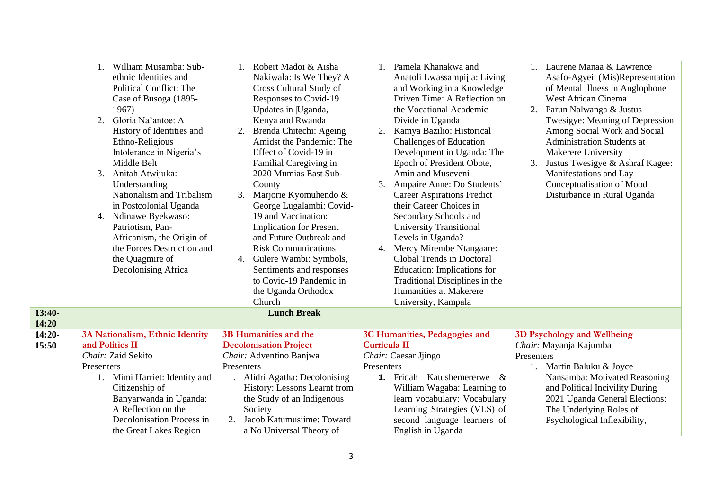|          | William Musamba: Sub-<br>ethnic Identities and<br><b>Political Conflict: The</b><br>Case of Busoga (1895-<br>1967)<br>Gloria Na'antoe: A<br>2.<br>History of Identities and<br>Ethno-Religious<br>Intolerance in Nigeria's<br>Middle Belt<br>Anitah Atwijuka:<br>3.<br>Understanding<br>Nationalism and Tribalism<br>in Postcolonial Uganda<br>4. Ndinawe Byekwaso:<br>Patriotism, Pan-<br>Africanism, the Origin of<br>the Forces Destruction and<br>the Quagmire of<br>Decolonising Africa | Robert Madoi & Aisha<br>$\mathbf{1}$ .<br>Nakiwala: Is We They? A<br>Cross Cultural Study of<br>Responses to Covid-19<br>Updates in  Uganda,<br>Kenya and Rwanda<br>Brenda Chitechi: Ageing<br>2.<br>Amidst the Pandemic: The<br>Effect of Covid-19 in<br>Familial Caregiving in<br>2020 Mumias East Sub-<br>County<br>Marjorie Kyomuhendo &<br>3.<br>George Lugalambi: Covid-<br>19 and Vaccination:<br><b>Implication for Present</b><br>and Future Outbreak and<br><b>Risk Communications</b><br>Gulere Wambi: Symbols,<br>4.<br>Sentiments and responses<br>to Covid-19 Pandemic in | Pamela Khanakwa and<br>$1_{-}$<br>Anatoli Lwassampijja: Living<br>and Working in a Knowledge<br>Driven Time: A Reflection on<br>the Vocational Academic<br>Divide in Uganda<br>Kamya Bazilio: Historical<br>2.<br><b>Challenges of Education</b><br>Development in Uganda: The<br>Epoch of President Obote,<br>Amin and Museveni<br>Ampaire Anne: Do Students'<br>3.<br><b>Career Aspirations Predict</b><br>their Career Choices in<br>Secondary Schools and<br><b>University Transitional</b><br>Levels in Uganda?<br>4. Mercy Mirembe Ntangaare:<br>Global Trends in Doctoral<br>Education: Implications for<br>Traditional Disciplines in the | 1. Laurene Manaa & Lawrence<br>Asafo-Agyei: (Mis)Representation<br>of Mental Illness in Anglophone<br><b>West African Cinema</b><br>Parun Nalwanga & Justus<br>Twesigye: Meaning of Depression<br>Among Social Work and Social<br><b>Administration Students at</b><br><b>Makerere University</b><br>3.<br>Justus Twesigye & Ashraf Kagee:<br>Manifestations and Lay<br>Conceptualisation of Mood<br>Disturbance in Rural Uganda |
|----------|----------------------------------------------------------------------------------------------------------------------------------------------------------------------------------------------------------------------------------------------------------------------------------------------------------------------------------------------------------------------------------------------------------------------------------------------------------------------------------------------|-----------------------------------------------------------------------------------------------------------------------------------------------------------------------------------------------------------------------------------------------------------------------------------------------------------------------------------------------------------------------------------------------------------------------------------------------------------------------------------------------------------------------------------------------------------------------------------------|---------------------------------------------------------------------------------------------------------------------------------------------------------------------------------------------------------------------------------------------------------------------------------------------------------------------------------------------------------------------------------------------------------------------------------------------------------------------------------------------------------------------------------------------------------------------------------------------------------------------------------------------------|----------------------------------------------------------------------------------------------------------------------------------------------------------------------------------------------------------------------------------------------------------------------------------------------------------------------------------------------------------------------------------------------------------------------------------|
|          |                                                                                                                                                                                                                                                                                                                                                                                                                                                                                              | the Uganda Orthodox                                                                                                                                                                                                                                                                                                                                                                                                                                                                                                                                                                     | Humanities at Makerere                                                                                                                                                                                                                                                                                                                                                                                                                                                                                                                                                                                                                            |                                                                                                                                                                                                                                                                                                                                                                                                                                  |
|          |                                                                                                                                                                                                                                                                                                                                                                                                                                                                                              | Church                                                                                                                                                                                                                                                                                                                                                                                                                                                                                                                                                                                  | University, Kampala                                                                                                                                                                                                                                                                                                                                                                                                                                                                                                                                                                                                                               |                                                                                                                                                                                                                                                                                                                                                                                                                                  |
| $13:40-$ |                                                                                                                                                                                                                                                                                                                                                                                                                                                                                              | <b>Lunch Break</b>                                                                                                                                                                                                                                                                                                                                                                                                                                                                                                                                                                      |                                                                                                                                                                                                                                                                                                                                                                                                                                                                                                                                                                                                                                                   |                                                                                                                                                                                                                                                                                                                                                                                                                                  |
| 14:20    |                                                                                                                                                                                                                                                                                                                                                                                                                                                                                              |                                                                                                                                                                                                                                                                                                                                                                                                                                                                                                                                                                                         |                                                                                                                                                                                                                                                                                                                                                                                                                                                                                                                                                                                                                                                   |                                                                                                                                                                                                                                                                                                                                                                                                                                  |
| $14:20-$ | 3A Nationalism, Ethnic Identity                                                                                                                                                                                                                                                                                                                                                                                                                                                              | 3B Humanities and the                                                                                                                                                                                                                                                                                                                                                                                                                                                                                                                                                                   | 3C Humanities, Pedagogies and                                                                                                                                                                                                                                                                                                                                                                                                                                                                                                                                                                                                                     | 3D Psychology and Wellbeing                                                                                                                                                                                                                                                                                                                                                                                                      |
| 15:50    | and Politics II                                                                                                                                                                                                                                                                                                                                                                                                                                                                              | <b>Decolonisation Project</b>                                                                                                                                                                                                                                                                                                                                                                                                                                                                                                                                                           | <b>Curricula II</b>                                                                                                                                                                                                                                                                                                                                                                                                                                                                                                                                                                                                                               | Chair: Mayanja Kajumba                                                                                                                                                                                                                                                                                                                                                                                                           |
|          | Chair: Zaid Sekito                                                                                                                                                                                                                                                                                                                                                                                                                                                                           | Chair: Adventino Banjwa                                                                                                                                                                                                                                                                                                                                                                                                                                                                                                                                                                 | Chair: Caesar Jjingo                                                                                                                                                                                                                                                                                                                                                                                                                                                                                                                                                                                                                              | Presenters                                                                                                                                                                                                                                                                                                                                                                                                                       |
|          | Presenters                                                                                                                                                                                                                                                                                                                                                                                                                                                                                   | Presenters                                                                                                                                                                                                                                                                                                                                                                                                                                                                                                                                                                              | Presenters                                                                                                                                                                                                                                                                                                                                                                                                                                                                                                                                                                                                                                        | 1. Martin Baluku & Joyce                                                                                                                                                                                                                                                                                                                                                                                                         |
|          | 1. Mimi Harriet: Identity and                                                                                                                                                                                                                                                                                                                                                                                                                                                                | 1. Alidri Agatha: Decolonising                                                                                                                                                                                                                                                                                                                                                                                                                                                                                                                                                          | 1. Fridah Katushemererwe<br>-&                                                                                                                                                                                                                                                                                                                                                                                                                                                                                                                                                                                                                    | Nansamba: Motivated Reasoning                                                                                                                                                                                                                                                                                                                                                                                                    |
|          | Citizenship of                                                                                                                                                                                                                                                                                                                                                                                                                                                                               | History: Lessons Learnt from                                                                                                                                                                                                                                                                                                                                                                                                                                                                                                                                                            | William Wagaba: Learning to                                                                                                                                                                                                                                                                                                                                                                                                                                                                                                                                                                                                                       | and Political Incivility During                                                                                                                                                                                                                                                                                                                                                                                                  |
|          | Banyarwanda in Uganda:                                                                                                                                                                                                                                                                                                                                                                                                                                                                       | the Study of an Indigenous                                                                                                                                                                                                                                                                                                                                                                                                                                                                                                                                                              | learn vocabulary: Vocabulary                                                                                                                                                                                                                                                                                                                                                                                                                                                                                                                                                                                                                      | 2021 Uganda General Elections:                                                                                                                                                                                                                                                                                                                                                                                                   |
|          | A Reflection on the                                                                                                                                                                                                                                                                                                                                                                                                                                                                          | Society                                                                                                                                                                                                                                                                                                                                                                                                                                                                                                                                                                                 | Learning Strategies (VLS) of                                                                                                                                                                                                                                                                                                                                                                                                                                                                                                                                                                                                                      | The Underlying Roles of                                                                                                                                                                                                                                                                                                                                                                                                          |
|          | Decolonisation Process in                                                                                                                                                                                                                                                                                                                                                                                                                                                                    | Jacob Katumusiime: Toward<br>2.<br>a No Universal Theory of                                                                                                                                                                                                                                                                                                                                                                                                                                                                                                                             | second language learners of<br>English in Uganda                                                                                                                                                                                                                                                                                                                                                                                                                                                                                                                                                                                                  | Psychological Inflexibility,                                                                                                                                                                                                                                                                                                                                                                                                     |
|          | the Great Lakes Region                                                                                                                                                                                                                                                                                                                                                                                                                                                                       |                                                                                                                                                                                                                                                                                                                                                                                                                                                                                                                                                                                         |                                                                                                                                                                                                                                                                                                                                                                                                                                                                                                                                                                                                                                                   |                                                                                                                                                                                                                                                                                                                                                                                                                                  |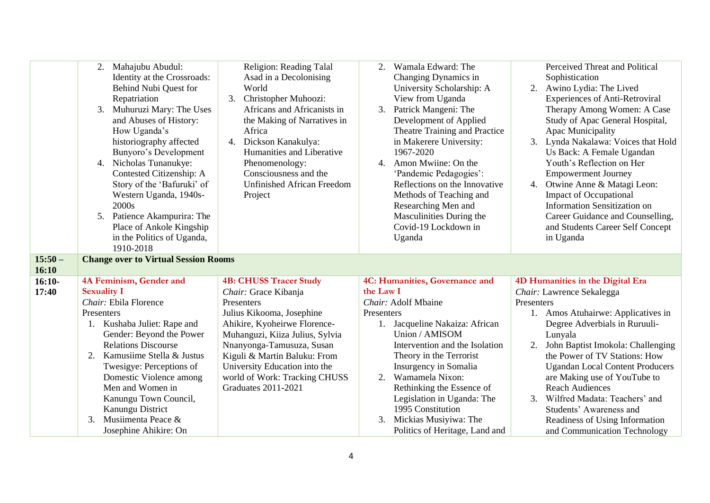|           | 2. Mahajubu Abudul:<br>Identity at the Crossroads:<br>Behind Nubi Quest for<br>Repatriation<br>3.<br>Muhuruzi Mary: The Uses<br>and Abuses of History:<br>How Uganda's<br>historiography affected<br>Bunyoro's Development<br>4. Nicholas Tunanukye:<br>Contested Citizenship: A<br>Story of the 'Bafuruki' of<br>Western Uganda, 1940s-<br>2000s | Religion: Reading Talal<br>Asad in a Decolonising<br>World<br>3.<br>Christopher Muhoozi:<br>Africans and Africanists in<br>the Making of Narratives in<br>Africa<br>4. Dickson Kanakulya:<br>Humanities and Liberative<br>Phenomenology:<br>Consciousness and the<br><b>Unfinished African Freedom</b><br>Project | Wamala Edward: The<br>Changing Dynamics in<br>University Scholarship: A<br>View from Uganda<br>Patrick Mangeni: The<br>3.<br>Development of Applied<br>Theatre Training and Practice<br>in Makerere University:<br>1967-2020<br>Amon Mwiine: On the<br>4.<br>'Pandemic Pedagogies':<br>Reflections on the Innovative<br>Methods of Teaching and<br>Researching Men and | Perceived Threat and Political<br>Sophistication<br>2. Awino Lydia: The Lived<br><b>Experiences of Anti-Retroviral</b><br>Therapy Among Women: A Case<br>Study of Apac General Hospital,<br>Apac Municipality<br>3. Lynda Nakalawa: Voices that Hold<br>Us Back: A Female Ugandan<br>Youth's Reflection on Her<br><b>Empowerment Journey</b><br>4. Otwine Anne & Matagi Leon:<br><b>Impact of Occupational</b><br><b>Information Sensitization on</b> |
|-----------|---------------------------------------------------------------------------------------------------------------------------------------------------------------------------------------------------------------------------------------------------------------------------------------------------------------------------------------------------|-------------------------------------------------------------------------------------------------------------------------------------------------------------------------------------------------------------------------------------------------------------------------------------------------------------------|------------------------------------------------------------------------------------------------------------------------------------------------------------------------------------------------------------------------------------------------------------------------------------------------------------------------------------------------------------------------|-------------------------------------------------------------------------------------------------------------------------------------------------------------------------------------------------------------------------------------------------------------------------------------------------------------------------------------------------------------------------------------------------------------------------------------------------------|
|           | 5. Patience Akampurira: The<br>Place of Ankole Kingship                                                                                                                                                                                                                                                                                           |                                                                                                                                                                                                                                                                                                                   | Masculinities During the<br>Covid-19 Lockdown in                                                                                                                                                                                                                                                                                                                       | Career Guidance and Counselling,<br>and Students Career Self Concept                                                                                                                                                                                                                                                                                                                                                                                  |
|           | in the Politics of Uganda,                                                                                                                                                                                                                                                                                                                        |                                                                                                                                                                                                                                                                                                                   | Uganda                                                                                                                                                                                                                                                                                                                                                                 | in Uganda                                                                                                                                                                                                                                                                                                                                                                                                                                             |
|           | 1910-2018                                                                                                                                                                                                                                                                                                                                         |                                                                                                                                                                                                                                                                                                                   |                                                                                                                                                                                                                                                                                                                                                                        |                                                                                                                                                                                                                                                                                                                                                                                                                                                       |
| $15:50 -$ | <b>Change over to Virtual Session Rooms</b>                                                                                                                                                                                                                                                                                                       |                                                                                                                                                                                                                                                                                                                   |                                                                                                                                                                                                                                                                                                                                                                        |                                                                                                                                                                                                                                                                                                                                                                                                                                                       |
| 16:10     |                                                                                                                                                                                                                                                                                                                                                   |                                                                                                                                                                                                                                                                                                                   |                                                                                                                                                                                                                                                                                                                                                                        |                                                                                                                                                                                                                                                                                                                                                                                                                                                       |
| $16:10-$  | 4A Feminism, Gender and                                                                                                                                                                                                                                                                                                                           | <b>4B: CHUSS Tracer Study</b>                                                                                                                                                                                                                                                                                     | 4C: Humanities, Governance and                                                                                                                                                                                                                                                                                                                                         | 4D Humanities in the Digital Era                                                                                                                                                                                                                                                                                                                                                                                                                      |
| 17:40     | <b>Sexuality I</b>                                                                                                                                                                                                                                                                                                                                | Chair: Grace Kibanja                                                                                                                                                                                                                                                                                              | the Law I                                                                                                                                                                                                                                                                                                                                                              | Chair: Lawrence Sekalegga                                                                                                                                                                                                                                                                                                                                                                                                                             |
|           | Chair: Ebila Florence                                                                                                                                                                                                                                                                                                                             | Presenters                                                                                                                                                                                                                                                                                                        | Chair: Adolf Mbaine                                                                                                                                                                                                                                                                                                                                                    | Presenters                                                                                                                                                                                                                                                                                                                                                                                                                                            |
|           | Presenters                                                                                                                                                                                                                                                                                                                                        | Julius Kikooma, Josephine                                                                                                                                                                                                                                                                                         | Presenters                                                                                                                                                                                                                                                                                                                                                             | 1. Amos Atuhairwe: Applicatives in                                                                                                                                                                                                                                                                                                                                                                                                                    |
|           | 1. Kushaba Juliet: Rape and                                                                                                                                                                                                                                                                                                                       | Ahikire, Kyoheirwe Florence-                                                                                                                                                                                                                                                                                      | Jacqueline Nakaiza: African<br>1.                                                                                                                                                                                                                                                                                                                                      | Degree Adverbials in Ruruuli-                                                                                                                                                                                                                                                                                                                                                                                                                         |
|           | Gender: Beyond the Power                                                                                                                                                                                                                                                                                                                          | Muhanguzi, Kiiza Julius, Sylvia                                                                                                                                                                                                                                                                                   | Union / AMISOM                                                                                                                                                                                                                                                                                                                                                         | Lunyala                                                                                                                                                                                                                                                                                                                                                                                                                                               |
|           | <b>Relations Discourse</b>                                                                                                                                                                                                                                                                                                                        | Nnanyonga-Tamusuza, Susan                                                                                                                                                                                                                                                                                         | Intervention and the Isolation                                                                                                                                                                                                                                                                                                                                         | John Baptist Imokola: Challenging                                                                                                                                                                                                                                                                                                                                                                                                                     |
|           | Kamusiime Stella & Justus<br>2.                                                                                                                                                                                                                                                                                                                   | Kiguli & Martin Baluku: From                                                                                                                                                                                                                                                                                      | Theory in the Terrorist                                                                                                                                                                                                                                                                                                                                                | the Power of TV Stations: How                                                                                                                                                                                                                                                                                                                                                                                                                         |
|           | Twesigye: Perceptions of<br>Domestic Violence among                                                                                                                                                                                                                                                                                               | University Education into the                                                                                                                                                                                                                                                                                     | Insurgency in Somalia<br>Wamamela Nixon:<br>2.                                                                                                                                                                                                                                                                                                                         | <b>Ugandan Local Content Producers</b>                                                                                                                                                                                                                                                                                                                                                                                                                |
|           | Men and Women in                                                                                                                                                                                                                                                                                                                                  | world of Work: Tracking CHUSS<br><b>Graduates 2011-2021</b>                                                                                                                                                                                                                                                       | Rethinking the Essence of                                                                                                                                                                                                                                                                                                                                              | are Making use of YouTube to<br><b>Reach Audiences</b>                                                                                                                                                                                                                                                                                                                                                                                                |
|           | Kanungu Town Council,                                                                                                                                                                                                                                                                                                                             |                                                                                                                                                                                                                                                                                                                   | Legislation in Uganda: The                                                                                                                                                                                                                                                                                                                                             | 3. Wilfred Madata: Teachers' and                                                                                                                                                                                                                                                                                                                                                                                                                      |
|           | Kanungu District                                                                                                                                                                                                                                                                                                                                  |                                                                                                                                                                                                                                                                                                                   | 1995 Constitution                                                                                                                                                                                                                                                                                                                                                      | Students' Awareness and                                                                                                                                                                                                                                                                                                                                                                                                                               |
|           | Musiimenta Peace &<br>3.                                                                                                                                                                                                                                                                                                                          |                                                                                                                                                                                                                                                                                                                   | Mickias Musiyiwa: The<br>3.                                                                                                                                                                                                                                                                                                                                            | Readiness of Using Information                                                                                                                                                                                                                                                                                                                                                                                                                        |
|           |                                                                                                                                                                                                                                                                                                                                                   |                                                                                                                                                                                                                                                                                                                   |                                                                                                                                                                                                                                                                                                                                                                        |                                                                                                                                                                                                                                                                                                                                                                                                                                                       |
|           | Josephine Ahikire: On                                                                                                                                                                                                                                                                                                                             |                                                                                                                                                                                                                                                                                                                   | Politics of Heritage, Land and                                                                                                                                                                                                                                                                                                                                         | and Communication Technology                                                                                                                                                                                                                                                                                                                                                                                                                          |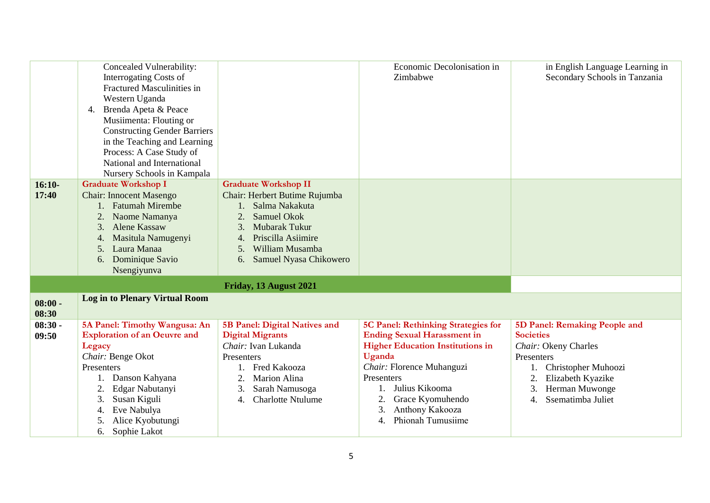|                    | Concealed Vulnerability:<br><b>Interrogating Costs of</b><br>Fractured Masculinities in<br>Western Uganda<br>Brenda Apeta & Peace<br>4.<br>Musiimenta: Flouting or<br><b>Constructing Gender Barriers</b><br>in the Teaching and Learning<br>Process: A Case Study of<br>National and International<br>Nursery Schools in Kampala |                                      | Economic Decolonisation in<br>Zimbabwe     | in English Language Learning in<br>Secondary Schools in Tanzania |
|--------------------|-----------------------------------------------------------------------------------------------------------------------------------------------------------------------------------------------------------------------------------------------------------------------------------------------------------------------------------|--------------------------------------|--------------------------------------------|------------------------------------------------------------------|
| $16:10-$           | <b>Graduate Workshop I</b>                                                                                                                                                                                                                                                                                                        | <b>Graduate Workshop II</b>          |                                            |                                                                  |
| 17:40              | <b>Chair: Innocent Masengo</b>                                                                                                                                                                                                                                                                                                    | Chair: Herbert Butime Rujumba        |                                            |                                                                  |
|                    | 1. Fatumah Mirembe                                                                                                                                                                                                                                                                                                                | Salma Nakakuta                       |                                            |                                                                  |
|                    | Naome Namanya                                                                                                                                                                                                                                                                                                                     | 2.<br>Samuel Okok                    |                                            |                                                                  |
|                    | <b>Alene Kassaw</b><br>3.                                                                                                                                                                                                                                                                                                         | Mubarak Tukur<br>3.                  |                                            |                                                                  |
|                    | Masitula Namugenyi<br>4.                                                                                                                                                                                                                                                                                                          | Priscilla Asiimire<br>4.             |                                            |                                                                  |
|                    | Laura Manaa<br>5.                                                                                                                                                                                                                                                                                                                 | William Musamba<br>5.                |                                            |                                                                  |
|                    | Dominique Savio<br>6.                                                                                                                                                                                                                                                                                                             | Samuel Nyasa Chikowero<br>6.         |                                            |                                                                  |
|                    | Nsengiyunva                                                                                                                                                                                                                                                                                                                       |                                      |                                            |                                                                  |
|                    |                                                                                                                                                                                                                                                                                                                                   | Friday, 13 August 2021               |                                            |                                                                  |
| $08:00 -$<br>08:30 | <b>Log in to Plenary Virtual Room</b>                                                                                                                                                                                                                                                                                             |                                      |                                            |                                                                  |
| $08:30 -$          | 5A Panel: Timothy Wangusa: An                                                                                                                                                                                                                                                                                                     | <b>5B Panel: Digital Natives and</b> | <b>5C Panel: Rethinking Strategies for</b> | 5D Panel: Remaking People and                                    |
| 09:50              | <b>Exploration of an Oeuvre and</b>                                                                                                                                                                                                                                                                                               | <b>Digital Migrants</b>              | <b>Ending Sexual Harassment in</b>         | <b>Societies</b>                                                 |
|                    | Legacy                                                                                                                                                                                                                                                                                                                            | Chair: Ivan Lukanda                  | <b>Higher Education Institutions in</b>    | Chair: Okeny Charles                                             |
|                    | Chair: Benge Okot                                                                                                                                                                                                                                                                                                                 | Presenters                           | Uganda                                     | Presenters                                                       |
|                    | Presenters                                                                                                                                                                                                                                                                                                                        | Fred Kakooza                         | Chair: Florence Muhanguzi                  | Christopher Muhoozi                                              |
|                    | Danson Kahyana                                                                                                                                                                                                                                                                                                                    | Marion Alina<br>2.                   | Presenters                                 | Elizabeth Kyazike                                                |
|                    | Edgar Nabutanyi                                                                                                                                                                                                                                                                                                                   | Sarah Namusoga<br>3.                 | Julius Kikooma                             | Herman Muwonge<br>3.                                             |
|                    | Susan Kiguli<br>3.                                                                                                                                                                                                                                                                                                                | <b>Charlotte Ntulume</b><br>4.       | 2.<br>Grace Kyomuhendo                     | Ssematimba Juliet<br>$\overline{4}$ .                            |
|                    | Eve Nabulya<br>4.                                                                                                                                                                                                                                                                                                                 |                                      | Anthony Kakooza<br>3.                      |                                                                  |
|                    | Alice Kyobutungi<br>5.                                                                                                                                                                                                                                                                                                            |                                      | Phionah Tumusiime<br>4.                    |                                                                  |
|                    | 6. Sophie Lakot                                                                                                                                                                                                                                                                                                                   |                                      |                                            |                                                                  |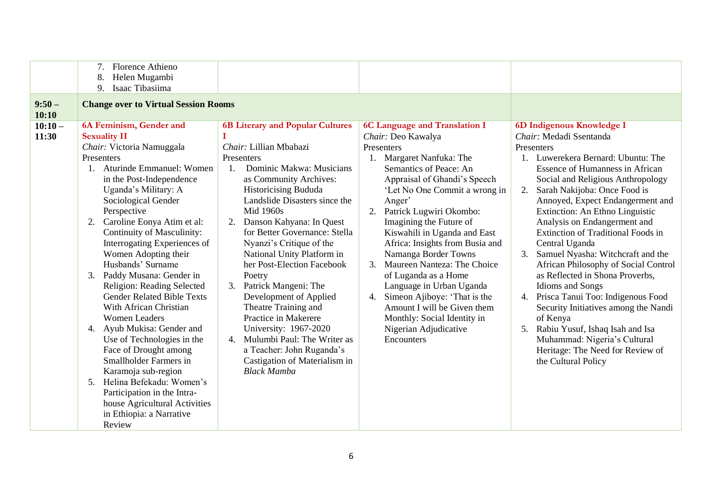| $9:50-$           | Florence Athieno<br>Helen Mugambi<br>8.<br>9.<br>Isaac Tibasiima<br><b>Change over to Virtual Session Rooms</b>                                                                                                                                                                                                                                                                                                                                                                                                                                                                                                                                                                                                                                                                                        |                                                                                                                                                                                                                                                                                                                                                                                                                                                                                                                                                                                                                                                              |                                                                                                                                                                                                                                                                                                                                                                                                                                                                                                                                                                                               |                                                                                                                                                                                                                                                                                                                                                                                                                                                                                                                                                                                                                                                                                                                                                                                      |
|-------------------|--------------------------------------------------------------------------------------------------------------------------------------------------------------------------------------------------------------------------------------------------------------------------------------------------------------------------------------------------------------------------------------------------------------------------------------------------------------------------------------------------------------------------------------------------------------------------------------------------------------------------------------------------------------------------------------------------------------------------------------------------------------------------------------------------------|--------------------------------------------------------------------------------------------------------------------------------------------------------------------------------------------------------------------------------------------------------------------------------------------------------------------------------------------------------------------------------------------------------------------------------------------------------------------------------------------------------------------------------------------------------------------------------------------------------------------------------------------------------------|-----------------------------------------------------------------------------------------------------------------------------------------------------------------------------------------------------------------------------------------------------------------------------------------------------------------------------------------------------------------------------------------------------------------------------------------------------------------------------------------------------------------------------------------------------------------------------------------------|--------------------------------------------------------------------------------------------------------------------------------------------------------------------------------------------------------------------------------------------------------------------------------------------------------------------------------------------------------------------------------------------------------------------------------------------------------------------------------------------------------------------------------------------------------------------------------------------------------------------------------------------------------------------------------------------------------------------------------------------------------------------------------------|
| 10:10             |                                                                                                                                                                                                                                                                                                                                                                                                                                                                                                                                                                                                                                                                                                                                                                                                        |                                                                                                                                                                                                                                                                                                                                                                                                                                                                                                                                                                                                                                                              |                                                                                                                                                                                                                                                                                                                                                                                                                                                                                                                                                                                               |                                                                                                                                                                                                                                                                                                                                                                                                                                                                                                                                                                                                                                                                                                                                                                                      |
| $10:10-$<br>11:30 | 6A Feminism, Gender and<br><b>Sexuality II</b><br>Chair: Victoria Namuggala<br>Presenters<br>1. Aturinde Emmanuel: Women<br>in the Post-Independence<br>Uganda's Military: A<br>Sociological Gender<br>Perspective<br>Caroline Eonya Atim et al:<br>2.<br>Continuity of Masculinity:<br>Interrogating Experiences of<br>Women Adopting their<br>Husbands' Surname<br>Paddy Musana: Gender in<br>3.<br>Religion: Reading Selected<br><b>Gender Related Bible Texts</b><br>With African Christian<br><b>Women Leaders</b><br>4. Ayub Mukisa: Gender and<br>Use of Technologies in the<br>Face of Drought among<br>Smallholder Farmers in<br>Karamoja sub-region<br>Helina Befekadu: Women's<br>.5.<br>Participation in the Intra-<br>house Agricultural Activities<br>in Ethiopia: a Narrative<br>Review | <b>6B Literary and Popular Cultures</b><br>Chair: Lillian Mbabazi<br>Presenters<br>Dominic Makwa: Musicians<br>$\overline{1}$ .<br>as Community Archives:<br><b>Historicising Bududa</b><br>Landslide Disasters since the<br>Mid 1960s<br>2. Danson Kahyana: In Quest<br>for Better Governance: Stella<br>Nyanzi's Critique of the<br>National Unity Platform in<br>her Post-Election Facebook<br>Poetry<br>3. Patrick Mangeni: The<br>Development of Applied<br>Theatre Training and<br>Practice in Makerere<br>University: 1967-2020<br>4. Mulumbi Paul: The Writer as<br>a Teacher: John Ruganda's<br>Castigation of Materialism in<br><b>Black Mamba</b> | 6C Language and Translation I<br>Chair: Deo Kawalya<br>Presenters<br>1. Margaret Nanfuka: The<br>Semantics of Peace: An<br>Appraisal of Ghandi's Speech<br>'Let No One Commit a wrong in<br>Anger'<br>Patrick Lugwiri Okombo:<br>2.<br>Imagining the Future of<br>Kiswahili in Uganda and East<br>Africa: Insights from Busia and<br>Namanga Border Towns<br>Maureen Nanteza: The Choice<br>3.<br>of Luganda as a Home<br>Language in Urban Uganda<br>Simeon Ajiboye: 'That is the<br>4.<br>Amount I will be Given them<br>Monthly: Social Identity in<br>Nigerian Adjudicative<br>Encounters | 6D Indigenous Knowledge I<br>Chair: Medadi Ssentanda<br>Presenters<br>1. Luwerekera Bernard: Ubuntu: The<br><b>Essence of Humanness in African</b><br>Social and Religious Anthropology<br>Sarah Nakijoba: Once Food is<br>2.<br>Annoyed, Expect Endangerment and<br>Extinction: An Ethno Linguistic<br>Analysis on Endangerment and<br><b>Extinction of Traditional Foods in</b><br>Central Uganda<br>3.<br>Samuel Nyasha: Witchcraft and the<br>African Philosophy of Social Control<br>as Reflected in Shona Proverbs,<br><b>Idioms</b> and Songs<br>4. Prisca Tanui Too: Indigenous Food<br>Security Initiatives among the Nandi<br>of Kenya<br>Rabiu Yusuf, Ishaq Isah and Isa<br>5.<br>Muhammad: Nigeria's Cultural<br>Heritage: The Need for Review of<br>the Cultural Policy |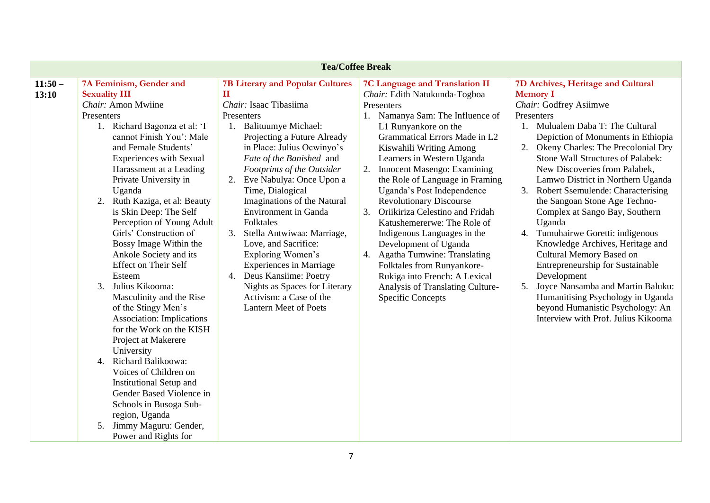| <b>Tea/Coffee Break</b> |                                  |                                         |                                          |                                                |
|-------------------------|----------------------------------|-----------------------------------------|------------------------------------------|------------------------------------------------|
| $11:50-$                | 7A Feminism, Gender and          | <b>7B Literary and Popular Cultures</b> | 7C Language and Translation II           | 7D Archives, Heritage and Cultural             |
| 13:10                   | <b>Sexuality III</b>             | П                                       | Chair: Edith Natukunda-Togboa            | <b>Memory I</b>                                |
|                         | Chair: Amon Mwiine               | Chair: Isaac Tibasiima                  | Presenters                               | Chair: Godfrey Asiimwe                         |
|                         | Presenters                       | Presenters                              | 1. Namanya Sam: The Influence of         | Presenters                                     |
|                         | 1. Richard Bagonza et al: 'I     | <b>Balituumye Michael:</b><br>1.        | L1 Runyankore on the                     | 1. Mulualem Daba T: The Cultural               |
|                         | cannot Finish You': Male         | Projecting a Future Already             | Grammatical Errors Made in L2            | Depiction of Monuments in Ethiopia             |
|                         | and Female Students'             | in Place: Julius Ocwinyo's              | Kiswahili Writing Among                  | 2. Okeny Charles: The Precolonial Dry          |
|                         | <b>Experiences with Sexual</b>   | Fate of the Banished and                | Learners in Western Uganda               | Stone Wall Structures of Palabek:              |
|                         | Harassment at a Leading          | Footprints of the Outsider              | Innocent Masengo: Examining<br>2.        | New Discoveries from Palabek,                  |
|                         | Private University in            | Eve Nabulya: Once Upon a<br>2.          | the Role of Language in Framing          | Lamwo District in Northern Uganda              |
|                         | Uganda                           | Time, Dialogical                        | Uganda's Post Independence               | <b>Robert Ssemulende: Characterising</b><br>3. |
|                         | 2. Ruth Kaziga, et al: Beauty    | Imaginations of the Natural             | <b>Revolutionary Discourse</b>           | the Sangoan Stone Age Techno-                  |
|                         | is Skin Deep: The Self           | <b>Environment</b> in Ganda             | Oriikiriza Celestino and Fridah<br>3.    | Complex at Sango Bay, Southern                 |
|                         | Perception of Young Adult        | Folktales                               | Katushemererwe: The Role of              | Uganda                                         |
|                         | Girls' Construction of           | Stella Antwiwaa: Marriage,<br>3.        | Indigenous Languages in the              | Tumuhairwe Goretti: indigenous<br>4.           |
|                         | Bossy Image Within the           | Love, and Sacrifice:                    | Development of Uganda                    | Knowledge Archives, Heritage and               |
|                         | Ankole Society and its           | Exploring Women's                       | <b>Agatha Tumwine: Translating</b><br>4. | Cultural Memory Based on                       |
|                         | <b>Effect on Their Self</b>      | <b>Experiences in Marriage</b>          | Folktales from Runyankore-               | <b>Entrepreneurship for Sustainable</b>        |
|                         | Esteem                           | Deus Kansiime: Poetry<br>4.             | Rukiga into French: A Lexical            | Development                                    |
|                         | 3.<br>Julius Kikooma:            | Nights as Spaces for Literary           | Analysis of Translating Culture-         | Joyce Nansamba and Martin Baluku:<br>5.        |
|                         | Masculinity and the Rise         | Activism: a Case of the                 | <b>Specific Concepts</b>                 | Humanitising Psychology in Uganda              |
|                         | of the Stingy Men's              | <b>Lantern Meet of Poets</b>            |                                          | beyond Humanistic Psychology: An               |
|                         | <b>Association:</b> Implications |                                         |                                          | Interview with Prof. Julius Kikooma            |
|                         | for the Work on the KISH         |                                         |                                          |                                                |
|                         | Project at Makerere              |                                         |                                          |                                                |
|                         | University                       |                                         |                                          |                                                |
|                         | 4. Richard Balikoowa:            |                                         |                                          |                                                |
|                         | Voices of Children on            |                                         |                                          |                                                |
|                         | <b>Institutional Setup and</b>   |                                         |                                          |                                                |
|                         | Gender Based Violence in         |                                         |                                          |                                                |
|                         | Schools in Busoga Sub-           |                                         |                                          |                                                |
|                         | region, Uganda                   |                                         |                                          |                                                |
|                         | Jimmy Maguru: Gender,<br>5.      |                                         |                                          |                                                |
|                         | Power and Rights for             |                                         |                                          |                                                |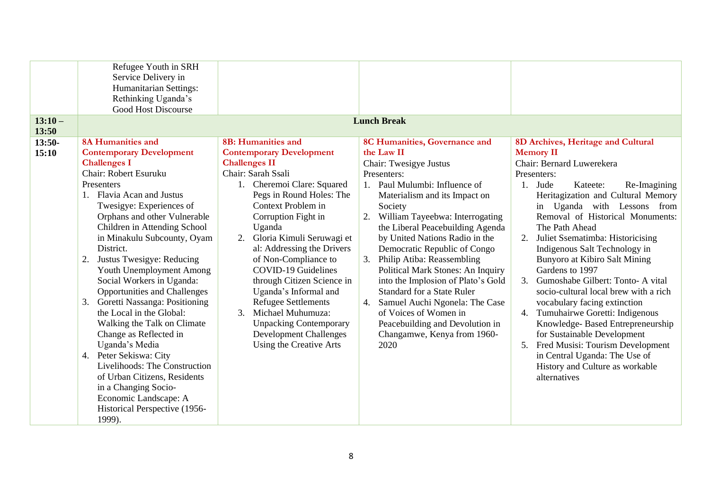| Refugee Youth in SRH<br>Service Delivery in<br>Humanitarian Settings:<br>Rethinking Uganda's<br><b>Good Host Discourse</b>                                                                                                                                                                                                                                                                                                                                                                                                                                                                                                                                                                                                                                                                           |                                                                                                                                                                                                                                                                                                                                                                                                                                                                                                                                                          |                                                                                                                                                                                                                                                                                                                                                                                                                                                                                                                                                                                                                             |                                                                                                                                                                                                                                                                                                                                                                                                                                                                                                                                                                                                                                                                                                                                                           |
|------------------------------------------------------------------------------------------------------------------------------------------------------------------------------------------------------------------------------------------------------------------------------------------------------------------------------------------------------------------------------------------------------------------------------------------------------------------------------------------------------------------------------------------------------------------------------------------------------------------------------------------------------------------------------------------------------------------------------------------------------------------------------------------------------|----------------------------------------------------------------------------------------------------------------------------------------------------------------------------------------------------------------------------------------------------------------------------------------------------------------------------------------------------------------------------------------------------------------------------------------------------------------------------------------------------------------------------------------------------------|-----------------------------------------------------------------------------------------------------------------------------------------------------------------------------------------------------------------------------------------------------------------------------------------------------------------------------------------------------------------------------------------------------------------------------------------------------------------------------------------------------------------------------------------------------------------------------------------------------------------------------|-----------------------------------------------------------------------------------------------------------------------------------------------------------------------------------------------------------------------------------------------------------------------------------------------------------------------------------------------------------------------------------------------------------------------------------------------------------------------------------------------------------------------------------------------------------------------------------------------------------------------------------------------------------------------------------------------------------------------------------------------------------|
| $13:10-$                                                                                                                                                                                                                                                                                                                                                                                                                                                                                                                                                                                                                                                                                                                                                                                             |                                                                                                                                                                                                                                                                                                                                                                                                                                                                                                                                                          | <b>Lunch Break</b>                                                                                                                                                                                                                                                                                                                                                                                                                                                                                                                                                                                                          |                                                                                                                                                                                                                                                                                                                                                                                                                                                                                                                                                                                                                                                                                                                                                           |
| 13:50<br><b>8A Humanities and</b><br>$13:50-$<br><b>Contemporary Development</b><br>15:10<br><b>Challenges I</b><br>Chair: Robert Esuruku<br>Presenters<br>1. Flavia Acan and Justus<br>Twesigye: Experiences of<br>Orphans and other Vulnerable<br>Children in Attending School<br>in Minakulu Subcounty, Oyam<br>District.<br>Justus Twesigye: Reducing<br>2.<br>Youth Unemployment Among<br>Social Workers in Uganda:<br><b>Opportunities and Challenges</b><br>Goretti Nassanga: Positioning<br>3.<br>the Local in the Global:<br>Walking the Talk on Climate<br>Change as Reflected in<br>Uganda's Media<br>4. Peter Sekiswa: City<br>Livelihoods: The Construction<br>of Urban Citizens, Residents<br>in a Changing Socio-<br>Economic Landscape: A<br>Historical Perspective (1956-<br>1999). | 8B: Humanities and<br><b>Contemporary Development</b><br><b>Challenges II</b><br>Chair: Sarah Ssali<br>1. Cheremoi Clare: Squared<br>Pegs in Round Holes: The<br>Context Problem in<br>Corruption Fight in<br>Uganda<br>Gloria Kimuli Seruwagi et<br>2.<br>al: Addressing the Drivers<br>of Non-Compliance to<br><b>COVID-19 Guidelines</b><br>through Citizen Science in<br>Uganda's Informal and<br><b>Refugee Settlements</b><br>3.<br>Michael Muhumuza:<br><b>Unpacking Contemporary</b><br><b>Development Challenges</b><br>Using the Creative Arts | 8C Humanities, Governance and<br>the Law II<br>Chair: Twesigye Justus<br>Presenters:<br>Paul Mulumbi: Influence of<br>$1_{\cdot}$<br>Materialism and its Impact on<br>Society<br>William Tayeebwa: Interrogating<br>2.<br>the Liberal Peacebuilding Agenda<br>by United Nations Radio in the<br>Democratic Republic of Congo<br>3.<br>Philip Atiba: Reassembling<br>Political Mark Stones: An Inquiry<br>into the Implosion of Plato's Gold<br><b>Standard for a State Ruler</b><br>Samuel Auchi Ngonela: The Case<br>4.<br>of Voices of Women in<br>Peacebuilding and Devolution in<br>Changamwe, Kenya from 1960-<br>2020 | 8D Archives, Heritage and Cultural<br><b>Memory II</b><br>Chair: Bernard Luwerekera<br>Presenters:<br>1. Jude<br>Re-Imagining<br>Kateete:<br>Heritagization and Cultural Memory<br>in Uganda with Lessons from<br>Removal of Historical Monuments:<br>The Path Ahead<br>Juliet Ssematimba: Historicising<br>Indigenous Salt Technology in<br>Bunyoro at Kibiro Salt Mining<br>Gardens to 1997<br>Gumoshabe Gilbert: Tonto-A vital<br>3.<br>socio-cultural local brew with a rich<br>vocabulary facing extinction<br>Tumuhairwe Goretti: Indigenous<br>4.<br>Knowledge-Based Entrepreneurship<br>for Sustainable Development<br>Fred Musisi: Tourism Development<br>5.<br>in Central Uganda: The Use of<br>History and Culture as workable<br>alternatives |